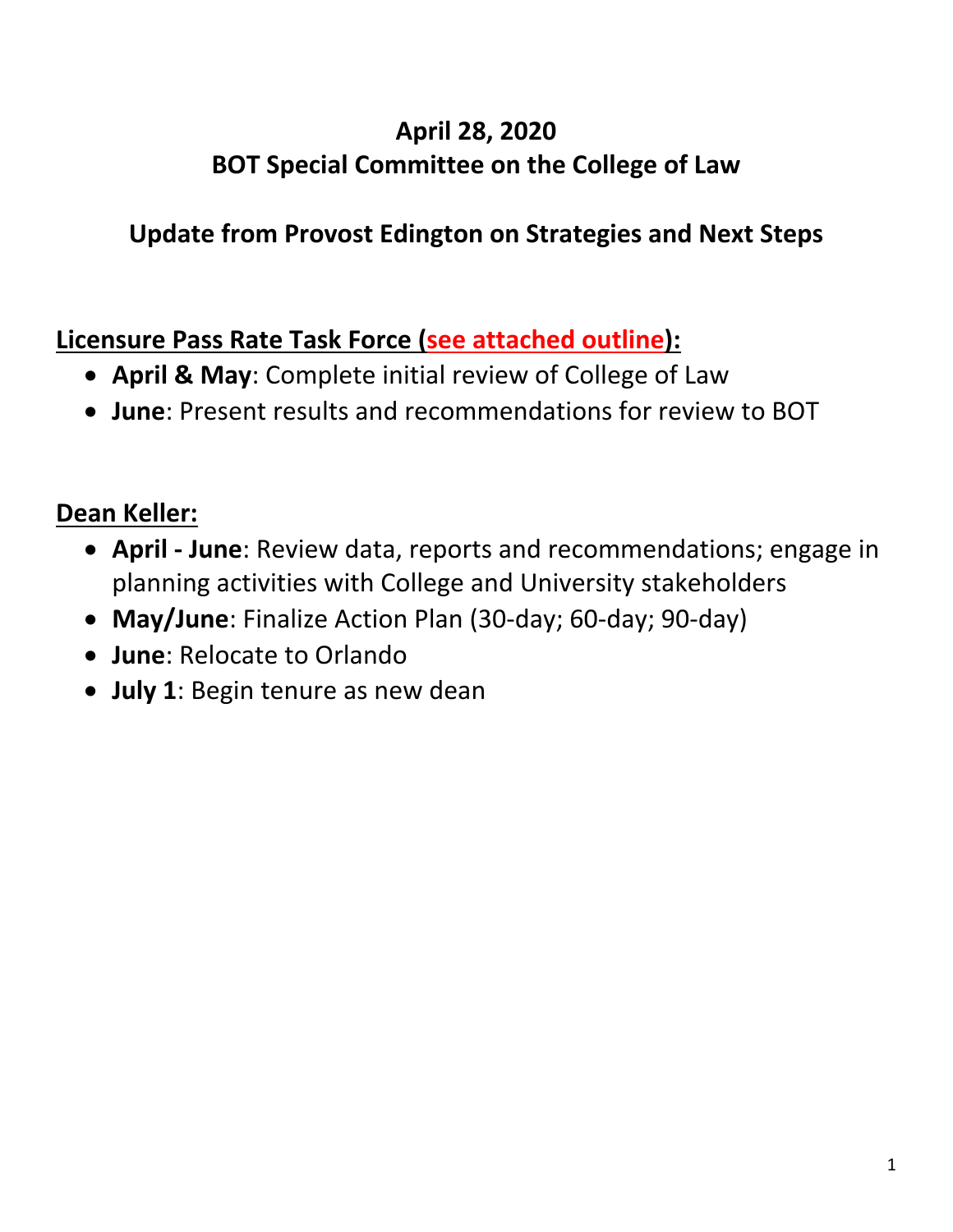# **April 28, 2020 BOT Special Committee on the College of Law**

# **Update from Provost Edington on Strategies and Next Steps**

# **Licensure Pass Rate Task Force (see attached outline):**

- **April & May**: Complete initial review of College of Law
- **June**: Present results and recommendations for review to BOT

# **Dean Keller:**

- **April - June**: Review data, reports and recommendations; engage in planning activities with College and University stakeholders
- **May/June**: Finalize Action Plan (30-day; 60-day; 90-day)
- **June**: Relocate to Orlando
- **July 1**: Begin tenure as new dean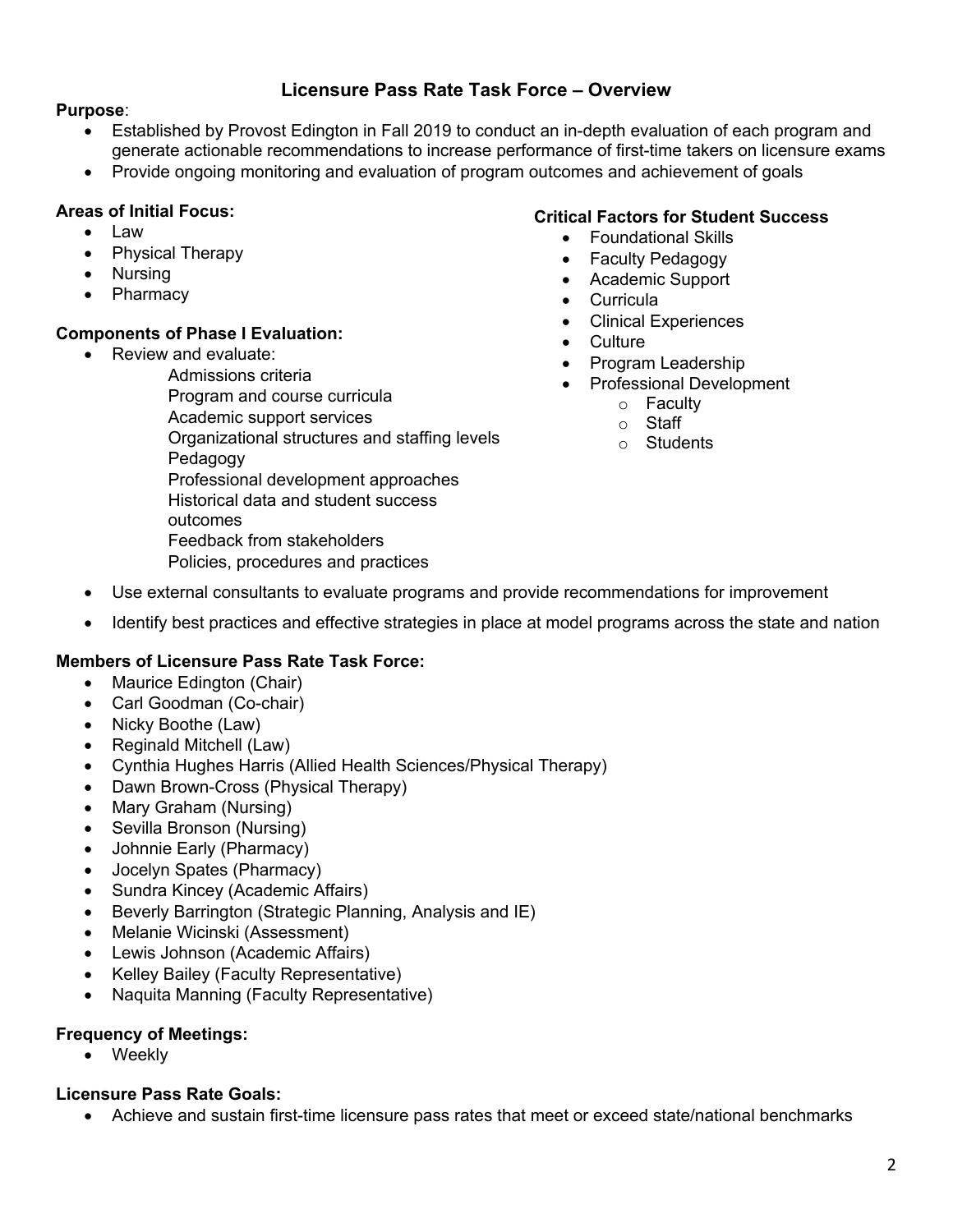## **Licensure Pass Rate Task Force – Overview**

### **Purpose**:

- Established by Provost Edington in Fall 2019 to conduct an in-depth evaluation of each program and generate actionable recommendations to increase performance of first-time takers on licensure exams
- Provide ongoing monitoring and evaluation of program outcomes and achievement of goals

### **Areas of Initial Focus:**

• Physical Therapy

**Components of Phase I Evaluation:**  • Review and evaluate:

• Law

• Nursing • Pharmacy

## **Critical Factors for Student Success**

- Foundational Skills
- Faculty Pedagogy
- Academic Support
- Curricula
- Clinical Experiences
- Culture
- Program Leadership
- Professional Development
	- o Faculty
	- o Staff
	- o Students
- Admissions criteria Program and course curricula Academic support services Organizational structures and staffing levels Pedagogy Professional development approaches Historical data and student success outcomes Feedback from stakeholders Policies, procedures and practices
- Use external consultants to evaluate programs and provide recommendations for improvement
- Identify best practices and effective strategies in place at model programs across the state and nation

#### **Members of Licensure Pass Rate Task Force:**

- Maurice Edington (Chair)
- Carl Goodman (Co-chair)
- Nicky Boothe (Law)
- Reginald Mitchell (Law)
- Cynthia Hughes Harris (Allied Health Sciences/Physical Therapy)
- Dawn Brown-Cross (Physical Therapy)
- Mary Graham (Nursing)
- Sevilla Bronson (Nursing)
- Johnnie Early (Pharmacy)
- Jocelyn Spates (Pharmacy)
- Sundra Kincey (Academic Affairs)
- Beverly Barrington (Strategic Planning, Analysis and IE)
- Melanie Wicinski (Assessment)
- Lewis Johnson (Academic Affairs)
- Kelley Bailey (Faculty Representative)
- Naquita Manning (Faculty Representative)

#### **Frequency of Meetings:**

• Weekly

#### **Licensure Pass Rate Goals:**

• Achieve and sustain first-time licensure pass rates that meet or exceed state/national benchmarks